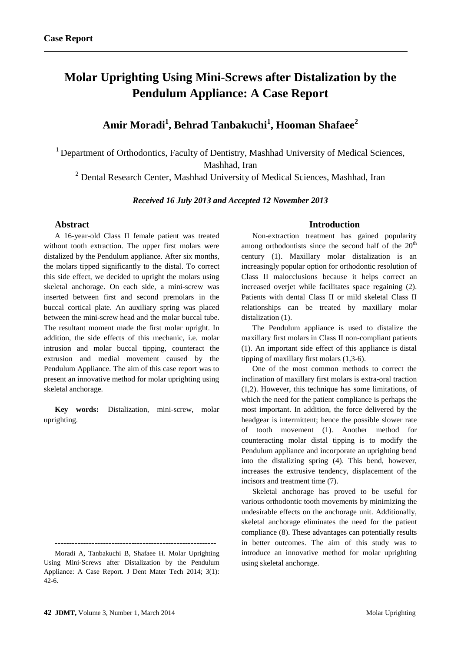# **Molar Uprighting Using Mini-Screws after Distalization by the Pendulum Appliance: A Case Report**

# **Amir Moradi<sup>1</sup> , Behrad Tanbakuchi<sup>1</sup> , Hooman Shafaee<sup>2</sup>**

<sup>1</sup> Department of Orthodontics, Faculty of Dentistry, Mashhad University of Medical Sciences, Mashhad, Iran

<sup>2</sup> Dental Research Center, Mashhad University of Medical Sciences, Mashhad, Iran

#### *Received 16 July 2013 and Accepted 12 November 2013*

### **Abstract**

A 16-year-old Class II female patient was treated without tooth extraction. The upper first molars were distalized by the Pendulum appliance. After six months, the molars tipped significantly to the distal. To correct this side effect, we decided to upright the molars using skeletal anchorage. On each side, a mini-screw was inserted between first and second premolars in the buccal cortical plate. An auxiliary spring was placed between the mini-screw head and the molar buccal tube. The resultant moment made the first molar upright. In addition, the side effects of this mechanic, i.e. molar intrusion and molar buccal tipping, counteract the extrusion and medial movement caused by the Pendulum Appliance. The aim of this case report was to present an innovative method for molar uprighting using skeletal anchorage.

**Key words:** Distalization, mini-screw, molar uprighting.

#### **Introduction**

Non-extraction treatment has gained popularity among orthodontists since the second half of the  $20<sup>th</sup>$ century (1). Maxillary molar distalization is an increasingly popular option for orthodontic resolution of Class II malocclusions because it helps correct an increased overjet while facilitates space regaining (2). Patients with dental Class II or mild skeletal Class II relationships can be treated by maxillary molar distalization (1).

The Pendulum appliance is used to distalize the maxillary first molars in Class II non-compliant patients (1). An important side effect of this appliance is distal tipping of maxillary first molars (1,3-6).

One of the most common methods to correct the inclination of maxillary first molars is extra-oral traction (1,2). However, this technique has some limitations, of which the need for the patient compliance is perhaps the most important. In addition, the force delivered by the headgear is intermittent; hence the possible slower rate of tooth movement (1). Another method for counteracting molar distal tipping is to modify the Pendulum appliance and incorporate an uprighting bend into the distalizing spring (4). This bend, however, increases the extrusive tendency, displacement of the incisors and treatment time (7).

Skeletal anchorage has proved to be useful for various orthodontic tooth movements by minimizing the undesirable effects on the anchorage unit. Additionally, skeletal anchorage eliminates the need for the patient compliance (8). These advantages can potentially results in better outcomes. The aim of this study was to introduce an innovative method for molar uprighting using skeletal anchorage.

**<sup>---------------------------------------------------------</sup>**

Moradi A, Tanbakuchi B, Shafaee H. Molar Uprighting Using Mini-Screws after Distalization by the Pendulum Appliance: A Case Report. J Dent Mater Tech 2014; 3(1): 42-6.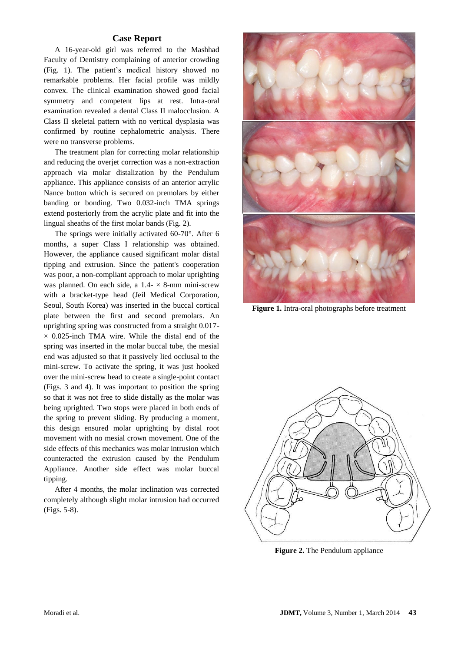# **Case Report**

A 16-year-old girl was referred to the Mashhad Faculty of Dentistry complaining of anterior crowding (Fig. 1). The patient's medical history showed no remarkable problems. Her facial profile was mildly convex. The clinical examination showed good facial symmetry and competent lips at rest. Intra-oral examination revealed a dental Class II malocclusion. A Class II skeletal pattern with no vertical dysplasia was confirmed by routine cephalometric analysis. There were no transverse problems.

The treatment plan for correcting molar relationship and reducing the overjet correction was a non-extraction approach via molar distalization by the Pendulum appliance. This appliance consists of an anterior acrylic Nance button which is secured on premolars by either banding or bonding. Two 0.032-inch TMA springs extend posteriorly from the acrylic plate and fit into the lingual sheaths of the first molar bands (Fig. 2).

The springs were initially activated 60-70°. After 6 months, a super Class I relationship was obtained. However, the appliance caused significant molar distal tipping and extrusion. Since the patient's cooperation was poor, a non-compliant approach to molar uprighting was planned. On each side, a  $1.4 - \times 8$ -mm mini-screw with a bracket-type head (Jeil Medical Corporation, Seoul, South Korea) was inserted in the buccal cortical plate between the first and second premolars. An uprighting spring was constructed from a straight 0.017-  $\times$  0.025-inch TMA wire. While the distal end of the spring was inserted in the molar buccal tube, the mesial end was adjusted so that it passively lied occlusal to the mini-screw. To activate the spring, it was just hooked over the mini-screw head to create a single-point contact (Figs. 3 and 4). It was important to position the spring so that it was not free to slide distally as the molar was being uprighted. Two stops were placed in both ends of the spring to prevent sliding. By producing a moment, this design ensured molar uprighting by distal root movement with no mesial crown movement. One of the side effects of this mechanics was molar intrusion which counteracted the extrusion caused by the Pendulum Appliance. Another side effect was molar buccal tipping.

After 4 months, the molar inclination was corrected completely although slight molar intrusion had occurred (Figs. 5-8).



**Figure 1.** Intra-oral photographs before treatment



**Figure 2.** The Pendulum appliance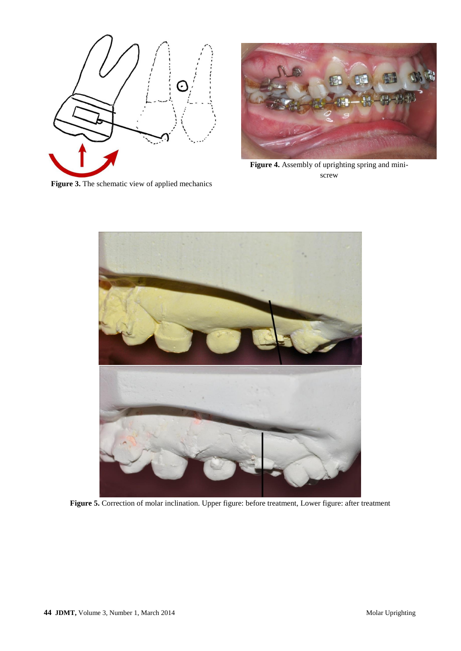

Figure 3. The schematic view of applied mechanics



**Figure 4.** Assembly of uprighting spring and miniscrew



Figure 5. Correction of molar inclination. Upper figure: before treatment, Lower figure: after treatment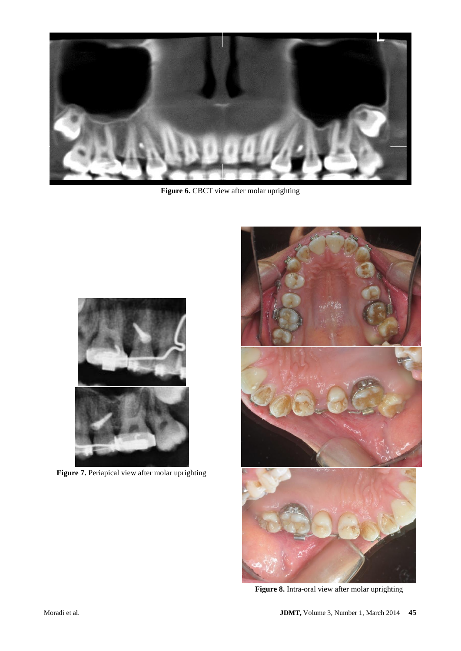

Figure 6. CBCT view after molar uprighting



**Figure 7.** Periapical view after molar uprighting



**Figure 8.** Intra-oral view after molar uprighting